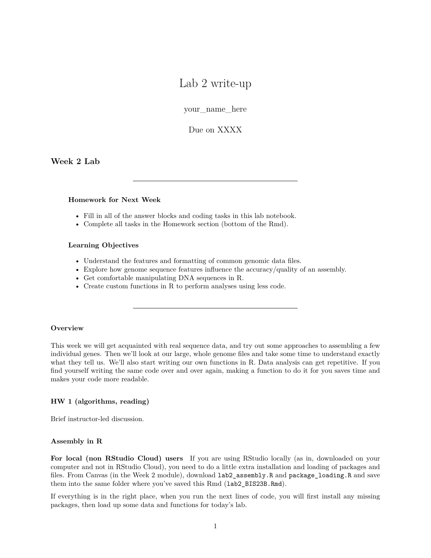# Lab 2 write-up

your\_name\_here

Due on XXXX

**Week 2 Lab**

### **Homework for Next Week**

- Fill in all of the answer blocks and coding tasks in this lab notebook.
- Complete all tasks in the Homework section (bottom of the Rmd).

#### **Learning Objectives**

- Understand the features and formatting of common genomic data files.
- Explore how genome sequence features influence the accuracy/quality of an assembly.
- Get comfortable manipulating DNA sequences in R.
- Create custom functions in R to perform analyses using less code.

#### **Overview**

This week we will get acquainted with real sequence data, and try out some approaches to assembling a few individual genes. Then we'll look at our large, whole genome files and take some time to understand exactly what they tell us. We'll also start writing our own functions in R. Data analysis can get repetitive. If you find yourself writing the same code over and over again, making a function to do it for you saves time and makes your code more readable.

#### **HW 1 (algorithms, reading)**

Brief instructor-led discussion.

### **Assembly in R**

**For local (non RStudio Cloud) users** If you are using RStudio locally (as in, downloaded on your computer and not in RStudio Cloud), you need to do a little extra installation and loading of packages and files. From Canvas (in the Week 2 module), download lab2\_assembly.R and package\_loading.R and save them into the same folder where you've saved this Rmd (lab2\_BIS23B.Rmd).

If everything is in the right place, when you run the next lines of code, you will first install any missing packages, then load up some data and functions for today's lab.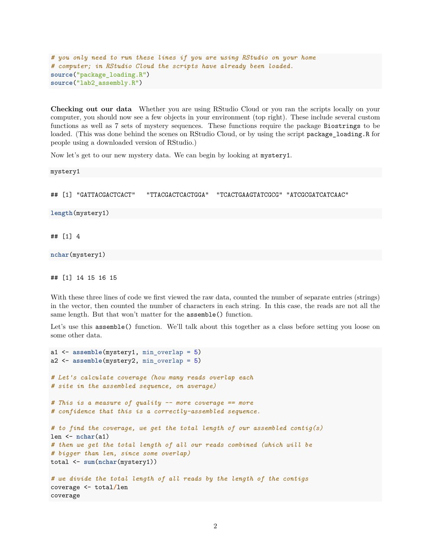```
# you only need to run these lines if you are using RStudio on your home
# computer; in RStudio Cloud the scripts have already been loaded.
source("package_loading.R")
source("lab2_assembly.R")
```
**Checking out our data** Whether you are using RStudio Cloud or you ran the scripts locally on your computer, you should now see a few objects in your environment (top right). These include several custom functions as well as 7 sets of mystery sequences. These functions require the package Biostrings to be loaded. (This was done behind the scenes on RStudio Cloud, or by using the script package loading.R for people using a downloaded version of RStudio.)

Now let's get to our new mystery data. We can begin by looking at mystery1.

mystery1

## [1] "GATTACGACTCACT" "TTACGACTCACTGGA" "TCACTGAAGTATCGCG" "ATCGCGATCATCAAC"

**length**(mystery1)

## [1] 4

**nchar**(mystery1)

## [1] 14 15 16 15

With these three lines of code we first viewed the raw data, counted the number of separate entries (strings) in the vector, then counted the number of characters in each string. In this case, the reads are not all the same length. But that won't matter for the assemble() function.

Let's use this assemble() function. We'll talk about this together as a class before setting you loose on some other data.

```
a1 <- assemble(mystery1, min_overlap = 5)
a2 <- assemble(mystery2, min_overlap = 5)
# Let's calculate coverage (how many reads overlap each
# site in the assembled sequence, on average)
# This is a measure of quality -- more coverage == more
# confidence that this is a correctly-assembled sequence.
# to find the coverage, we get the total length of our assembled contig(s)
len <- nchar(a1)
# then we get the total length of all our reads combined (which will be
# bigger than len, since some overlap)
total <- sum(nchar(mystery1))
# we divide the total length of all reads by the length of the contigs
coverage <- total/len
coverage
```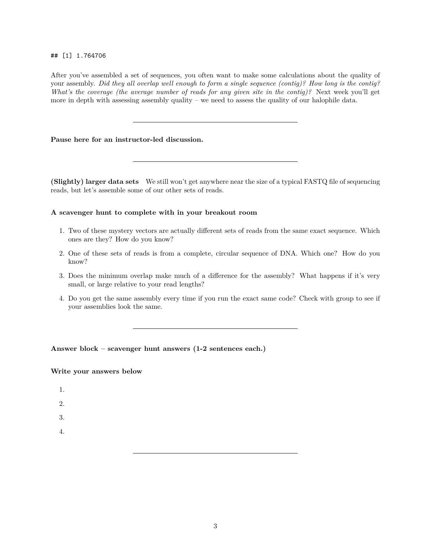#### ## [1] 1.764706

After you've assembled a set of sequences, you often want to make some calculations about the quality of your assembly. *Did they all overlap well enough to form a single sequence (contig)? How long is the contig? What's the coverage (the average number of reads for any given site in the contig)?* Next week you'll get more in depth with assessing assembly quality – we need to assess the quality of our halophile data.

#### **Pause here for an instructor-led discussion.**

**(Slightly) larger data sets** We still won't get anywhere near the size of a typical FASTQ file of sequencing reads, but let's assemble some of our other sets of reads.

# **A scavenger hunt to complete with in your breakout room**

- 1. Two of these mystery vectors are actually different sets of reads from the same exact sequence. Which ones are they? How do you know?
- 2. One of these sets of reads is from a complete, circular sequence of DNA. Which one? How do you know?
- 3. Does the minimum overlap make much of a difference for the assembly? What happens if it's very small, or large relative to your read lengths?
- 4. Do you get the same assembly every time if you run the exact same code? Check with group to see if your assemblies look the same.

**Answer block – scavenger hunt answers (1-2 sentences each.)**

#### **Write your answers below**

1. 2. 3. 4.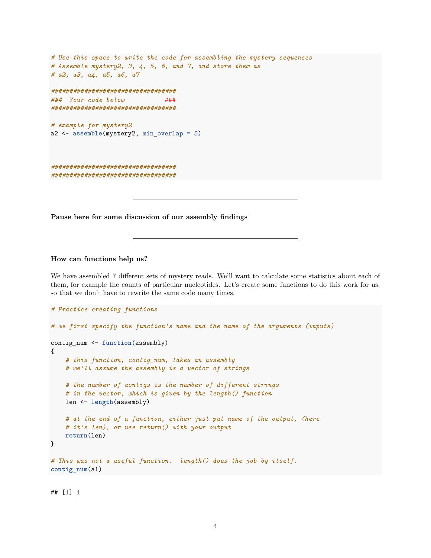```
# Use this space to write the code for assembling the mystery sequences
# Assemble mystery2, 3, 4, 5, 6, and 7, and store them as
# a2, a3, a4, a5, a6, a7
##################################
### Your code below ###
##################################
# example for mystery2
a2 <- assemble(mystery2, min_overlap = 5)
##################################
##################################
```
**Pause here for some discussion of our assembly findings**

#### **How can functions help us?**

We have assembled 7 different sets of mystery reads. We'll want to calculate some statistics about each of them, for example the counts of particular nucleotides. Let's create some functions to do this work for us, so that we don't have to rewrite the same code many times.

```
# Practice creating functions
# we first specify the function's name and the name of the arguments (inputs)
contig_num <- function(assembly)
{
    # this function, contig_num, takes an assembly
    # we'll assume the assembly is a vector of strings
    # the number of contigs is the number of different strings
    # in the vector, which is given by the length() function
    len <- length(assembly)
    # at the end of a function, either just put name of the output, (here
    # it's len), or use return() with your output
    return(len)
}
# This was not a useful function. length() does the job by itself.
contig_num(a1)
```
## [1] 1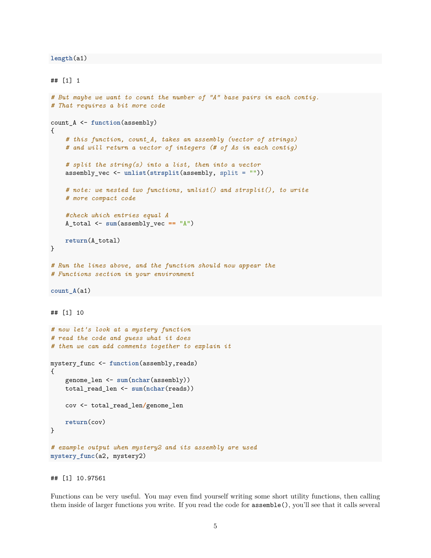#### **length**(a1)

```
## [1] 1
# But maybe we want to count the number of "A" base pairs in each contig.
# That requires a bit more code
count_A <- function(assembly)
{
    # this function, count_A, takes an assembly (vector of strings)
    # and will return a vector of integers (# of As in each contig)
    # split the string(s) into a list, then into a vector
    assembly_vec <- unlist(strsplit(assembly, split = ""))
    # note: we nested two functions, unlist() and strsplit(), to write
    # more compact code
    #check which entries equal A
    A_total <- sum(assembly_vec == "A")
    return(A_total)
}
# Run the lines above, and the function should now appear the
# Functions section in your environment
count_A(a1)
```

```
## [1] 10
```

```
# now let's look at a mystery function
# read the code and guess what it does
# then we can add comments together to explain it
mystery_func <- function(assembly,reads)
{
    genome_len <- sum(nchar(assembly))
    total_read_len <- sum(nchar(reads))
    cov <- total_read_len/genome_len
    return(cov)
}
# example output when mystery2 and its assembly are used
mystery_func(a2, mystery2)
```
## [1] 10.97561

Functions can be very useful. You may even find yourself writing some short utility functions, then calling them inside of larger functions you write. If you read the code for assemble(), you'll see that it calls several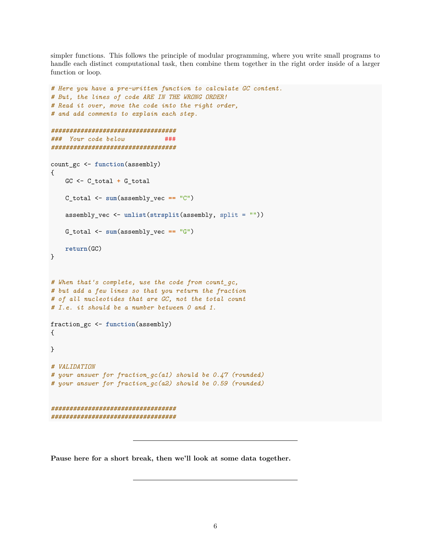simpler functions. This follows the principle of modular programming, where you write small programs to handle each distinct computational task, then combine them together in the right order inside of a larger function or loop.

```
# Here you have a pre-written function to calculate GC content.
# But, the lines of code ARE IN THE WRONG ORDER!
# Read it over, move the code into the right order,
# and add comments to explain each step.
##################################
### Your code below ###
##################################
count_gc <- function(assembly)
{
    GC <- C_total + G_total
    C_total <- sum(assembly_vec == "C")
    assembly_vec <- unlist(strsplit(assembly, split = ""))
    G_total <- sum(assembly_vec == "G")
    return(GC)
}
# When that's complete, use the code from count_gc,
# but add a few lines so that you return the fraction
# of all nucleotides that are GC, not the total count
# I.e. it should be a number between 0 and 1.
fraction_gc <- function(assembly)
{
}
# VALIDATION
# your answer for fraction_gc(a1) should be 0.47 (rounded)
# your answer for fraction_gc(a2) should be 0.59 (rounded)
##################################
##################################
```
**Pause here for a short break, then we'll look at some data together.**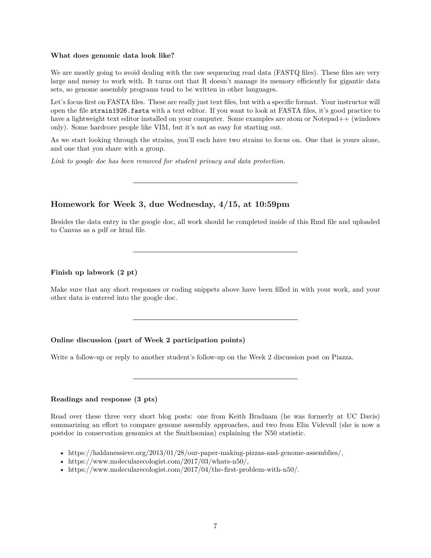#### **What does genomic data look like?**

We are mostly going to avoid dealing with the raw sequencing read data (FASTQ files). These files are very large and messy to work with. It turns out that R doesn't manage its memory efficiently for gigantic data sets, so genome assembly programs tend to be written in other languages.

Let's focus first on FASTA files. These are really just text files, but with a specific format. Your instructor will open the file strain1926.fasta with a text editor. If you want to look at FASTA files, it's good practice to have a lightweight text editor installed on your computer. Some examples are [atom](https://atom.io/) or [Notepad++ \(windows](https://notepad-plus-plus.org/) [only\).](https://notepad-plus-plus.org/) Some hardcore people like [VIM,](https://www.vim.org/download.php) but it's not as easy for starting out.

As we start looking through the strains, you'll each have two strains to focus on. One that is yours alone, and one that you share with a group.

*Link to google doc has been removed for student privacy and data protection.*

# **Homework for Week 3, due Wednesday, 4/15, at 10:59pm**

Besides the data entry in the google doc, all work should be completed inside of this Rmd file and uploaded to Canvas as a pdf or html file.

#### **Finish up labwork (2 pt)**

Make sure that any short responses or coding snippets above have been filled in with your work, and your other data is entered into the google doc.

#### **Online discussion (part of Week 2 participation points)**

Write a follow-up or reply to another student's follow-up on the Week 2 discussion post on Piazza.

#### **Readings and response (3 pts)**

Read over these three very short blog posts: one from Keith Bradnam (he was formerly at UC Davis) summarizing an effort to compare genome assembly approaches, and two from Elin Videvall (she is now a postdoc in conservation genomics at the Smithsonian) explaining the N50 statistic.

- [https://haldanessieve.org/2013/01/28/our-paper-making-pizzas-and-genome-assemblies/,](https://haldanessieve.org/2013/01/28/our-paper-making-pizzas-and-genome-assemblies/)
- [https://www.molecularecologist.com/2017/03/whats-n50/,](https://www.molecularecologist.com/2017/03/whats-n50/)
- [https://www.molecularecologist.com/2017/04/the-first-problem-with-n50/.](https://www.molecularecologist.com/2017/04/the-first-problem-with-n50/)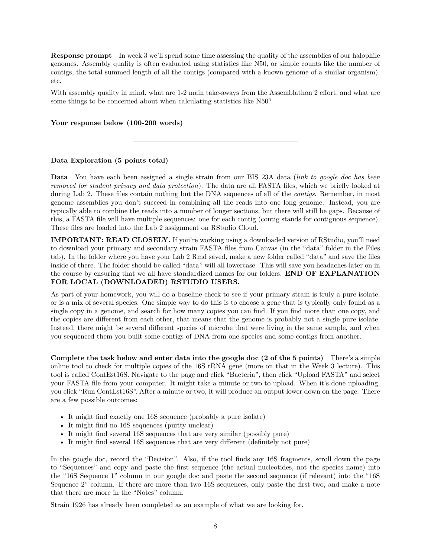**Response prompt** In week 3 we'll spend some time assessing the quality of the assemblies of our halophile genomes. Assembly quality is often evaluated using statistics like N50, or simple counts like the number of contigs, the total summed length of all the contigs (compared with a known genome of a similar organism), etc.

With assembly quality in mind, what are 1-2 main take-aways from the Assemblathon 2 effort, and what are some things to be concerned about when calculating statistics like N50?

# **Your response below (100-200 words)**

# **Data Exploration (5 points total)**

**Data** You have each been assigned a single strain from our BIS 23A data (*link to google doc has been removed for student privacy and data protection*). The data are all FASTA files, which we briefly looked at during Lab 2. These files contain nothing but the DNA sequences of all of the *contigs*. Remember, in most genome assemblies you don't succeed in combining all the reads into one long genome. Instead, you are typically able to combine the reads into a number of longer sections, but there will still be gaps. Because of this, a FASTA file will have multiple sequences: one for each contig (contig stands for contiguous sequence). These files are loaded into the Lab 2 assignment on RStudio Cloud.

**IMPORTANT: READ CLOSELY.** If you're working using a downloaded version of RStudio, you'll need to download your primary and secondary strain FASTA files from Canvas (in the "data" folder in the Files tab). In the folder where you have your Lab 2 Rmd saved, make a new folder called "data" and save the files inside of there. The folder should be called "data" will all lowercase. This will save you headaches later on in the course by ensuring that we all have standardized names for our folders. **END OF EXPLANATION FOR LOCAL (DOWNLOADED) RSTUDIO USERS.**

As part of your homework, you will do a baseline check to see if your primary strain is truly a pure isolate, or is a mix of several species. One simple way to do this is to choose a gene that is typically only found as a single copy in a genome, and search for how many copies you can find. If you find more than one copy, and the copies are different from each other, that means that the genome is probably not a single pure isolate. Instead, there might be several different species of microbe that were living in the same sample, and when you sequenced them you built some contigs of DNA from one species and some contigs from another.

**Complete the task below and enter data into the google doc (2 of the 5 points)** There's a simple online tool to check for multiple copies of the 16S rRNA gene (more on that in the Week 3 lecture). This tool is called [ContEst16S.](https://www.ezbiocloud.net/tools/contest16s) Navigate to the page and click "Bacteria", then click "Upload FASTA" and select your FASTA file from your computer. It might take a minute or two to upload. When it's done uploading, you click "Run ContEst16S". After a minute or two, it will produce an output lower down on the page. There are a few possible outcomes:

- It might find exactly one 16S sequence (probably a pure isolate)
- It might find no 16S sequences (purity unclear)
- It might find several 16S sequences that are very similar (possibly pure)
- It might find several 16S sequences that are very different (definitely not pure)

In the google doc, record the "Decision". Also, if the tool finds any 16S fragments, scroll down the page to "Sequences" and copy and paste the first sequence (the actual nucleotides, not the species name) into the "16S Sequence 1" column in our google doc and paste the second sequence (if relevant) into the "16S Sequence 2" column. If there are more than two 16S sequences, only paste the first two, and make a note that there are more in the "Notes" column.

Strain 1926 has already been completed as an example of what we are looking for.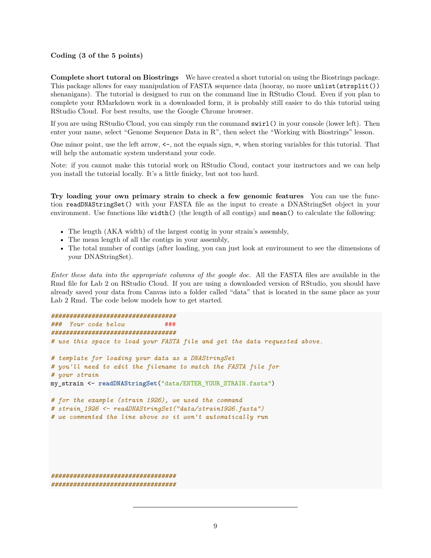# **Coding (3 of the 5 points)**

**Complete short tutoral on Biostrings** We have created a short tutorial on using the Biostrings package. This package allows for easy manipulation of FASTA sequence data (hooray, no more unlist(strsplit()) shenanigans). The tutorial is designed to run on the command line in RStudio Cloud. Even if you plan to complete your RMarkdown work in a downloaded form, it is probably still easier to do this tutorial using RStudio Cloud. For best results, use the Google Chrome browser.

If you are using RStudio Cloud, you can simply run the command swirl() in your console (lower left). Then enter your name, select "Genome Sequence Data in R", then select the "Working with Biostrings" lesson.

One minor point, use the left arrow, <-, not the equals sign, =, when storing variables for this tutorial. That will help the automatic system understand your code.

Note: if you cannot make this tutorial work on RStudio Cloud, contact your instructors and we can help you install the tutorial locally. It's a little finicky, but not too hard.

**Try loading your own primary strain to check a few genomic features** You can use the function readDNAStringSet() with your FASTA file as the input to create a DNAStringSet object in your environment. Use functions like width() (the length of all contigs) and mean() to calculate the following:

- The length (AKA width) of the largest contig in your strain's assembly,
- The mean length of all the contigs in your assembly,
- The total number of contigs (after loading, you can just look at environment to see the dimensions of your DNAStringSet).

*Enter these data into the appropriate columns of the google doc.* All the FASTA files are available in the Rmd file for Lab 2 on RStudio Cloud. If you are using a downloaded version of RStudio, you should have already saved your data from Canvas into a folder called "data" that is located in the same place as your Lab 2 Rmd. The code below models how to get started.

```
##################################
### Your code below ###
##################################
# use this space to load your FASTA file and get the data requested above.
# template for loading your data as a DNAStringSet
# you'll need to edit the filename to match the FASTA file for
# your strain
my_strain <- readDNAStringSet("data/ENTER_YOUR_STRAIN.fasta")
# for the example (strain 1926), we used the command
# strain_1926 <- readDNAStringSet("data/strain1926.fasta")
# we commented the line above so it won't automatically run
##################################
##################################
```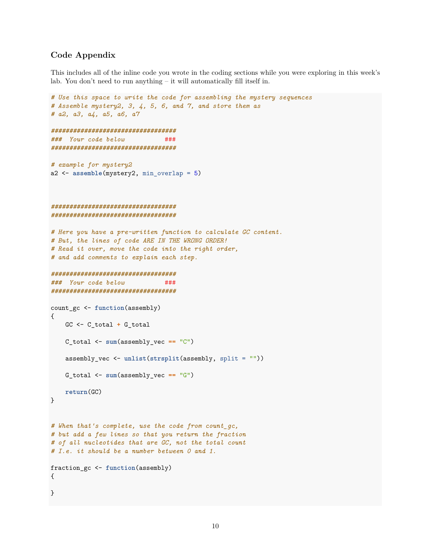# **Code Appendix**

This includes all of the inline code you wrote in the coding sections while you were exploring in this week's lab. You don't need to run anything – it will automatically fill itself in.

```
# Use this space to write the code for assembling the mystery sequences
# Assemble mystery2, 3, 4, 5, 6, and 7, and store them as
# a2, a3, a4, a5, a6, a7
##################################
### Your code below ###
##################################
# example for mystery2
a2 <- assemble(mystery2, min_overlap = 5)
##################################
##################################
# Here you have a pre-written function to calculate GC content.
# But, the lines of code ARE IN THE WRONG ORDER!
# Read it over, move the code into the right order,
# and add comments to explain each step.
##################################
### Your code below ###
##################################
count_gc <- function(assembly)
{
    GC <- C_total + G_total
    C_total <- sum(assembly_vec == "C")
    assembly_vec <- unlist(strsplit(assembly, split = ""))
    G_total <- sum(assembly_vec == "G")
    return(GC)
}
# When that's complete, use the code from count_gc,
# but add a few lines so that you return the fraction
# of all nucleotides that are GC, not the total count
# I.e. it should be a number between 0 and 1.
fraction_gc <- function(assembly)
{
}
```